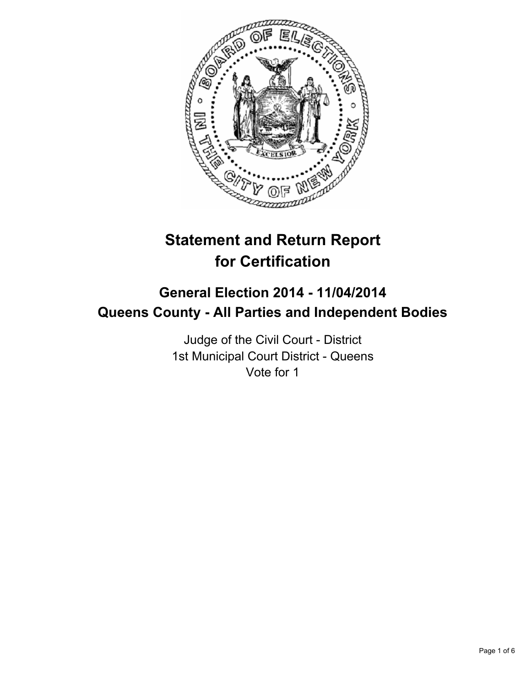

# **Statement and Return Report for Certification**

## **General Election 2014 - 11/04/2014 Queens County - All Parties and Independent Bodies**

Judge of the Civil Court - District 1st Municipal Court District - Queens Vote for 1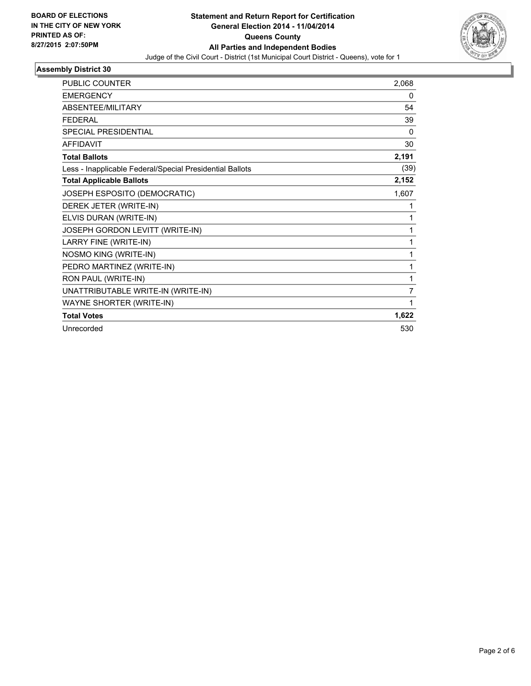

### **Assembly District 30**

| PUBLIC COUNTER                                           | 2,068    |
|----------------------------------------------------------|----------|
| <b>EMERGENCY</b>                                         | 0        |
| ABSENTEE/MILITARY                                        | 54       |
| <b>FEDERAL</b>                                           | 39       |
| <b>SPECIAL PRESIDENTIAL</b>                              | $\Omega$ |
| <b>AFFIDAVIT</b>                                         | 30       |
| <b>Total Ballots</b>                                     | 2,191    |
| Less - Inapplicable Federal/Special Presidential Ballots | (39)     |
| <b>Total Applicable Ballots</b>                          | 2,152    |
| JOSEPH ESPOSITO (DEMOCRATIC)                             | 1,607    |
| DEREK JETER (WRITE-IN)                                   | 1        |
| ELVIS DURAN (WRITE-IN)                                   | 1        |
| JOSEPH GORDON LEVITT (WRITE-IN)                          | 1        |
| LARRY FINE (WRITE-IN)                                    | 1        |
| NOSMO KING (WRITE-IN)                                    | 1        |
| PEDRO MARTINEZ (WRITE-IN)                                | 1        |
| RON PAUL (WRITE-IN)                                      | 1        |
| UNATTRIBUTABLE WRITE-IN (WRITE-IN)                       | 7        |
| WAYNE SHORTER (WRITE-IN)                                 | 1        |
| <b>Total Votes</b>                                       | 1,622    |
| Unrecorded                                               | 530      |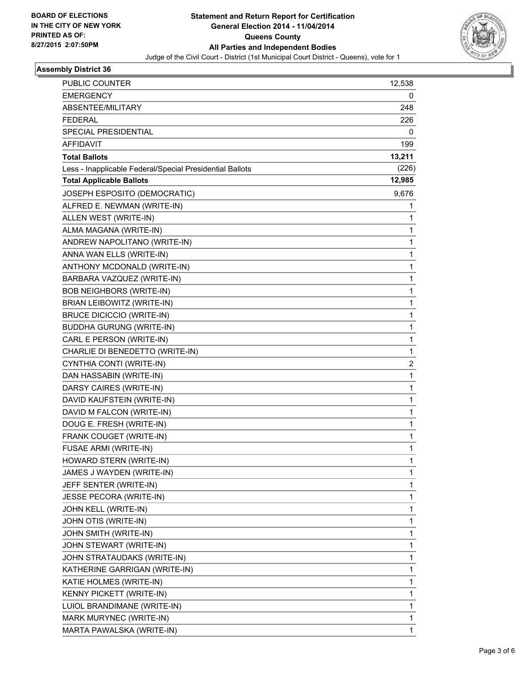

#### **Assembly District 36**

| PUBLIC COUNTER                                           | 12,538       |
|----------------------------------------------------------|--------------|
| <b>EMERGENCY</b>                                         | 0            |
| ABSENTEE/MILITARY                                        | 248          |
| <b>FEDERAL</b>                                           | 226          |
| SPECIAL PRESIDENTIAL                                     | 0            |
| AFFIDAVIT                                                | 199          |
| <b>Total Ballots</b>                                     | 13,211       |
| Less - Inapplicable Federal/Special Presidential Ballots | (226)        |
| <b>Total Applicable Ballots</b>                          | 12,985       |
| JOSEPH ESPOSITO (DEMOCRATIC)                             | 9,676        |
| ALFRED E. NEWMAN (WRITE-IN)                              | 1            |
| ALLEN WEST (WRITE-IN)                                    | 1            |
| ALMA MAGANA (WRITE-IN)                                   | 1            |
| ANDREW NAPOLITANO (WRITE-IN)                             | 1            |
| ANNA WAN ELLS (WRITE-IN)                                 | 1            |
| ANTHONY MCDONALD (WRITE-IN)                              | 1            |
| BARBARA VAZQUEZ (WRITE-IN)                               | 1            |
| <b>BOB NEIGHBORS (WRITE-IN)</b>                          | 1            |
| BRIAN LEIBOWITZ (WRITE-IN)                               | 1            |
| <b>BRUCE DICICCIO (WRITE-IN)</b>                         | 1            |
| <b>BUDDHA GURUNG (WRITE-IN)</b>                          | 1            |
| CARL E PERSON (WRITE-IN)                                 | 1            |
| CHARLIE DI BENEDETTO (WRITE-IN)                          | 1            |
| CYNTHIA CONTI (WRITE-IN)                                 | 2            |
| DAN HASSABIN (WRITE-IN)                                  | 1            |
| DARSY CAIRES (WRITE-IN)                                  | 1            |
| DAVID KAUFSTEIN (WRITE-IN)                               | 1            |
| DAVID M FALCON (WRITE-IN)                                | 1            |
| DOUG E. FRESH (WRITE-IN)                                 | 1            |
| FRANK COUGET (WRITE-IN)                                  | 1            |
| FUSAE ARMI (WRITE-IN)                                    | 1            |
| HOWARD STERN (WRITE-IN)                                  | 1            |
| JAMES J WAYDEN (WRITE-IN)                                | $\mathbf{1}$ |
| JEFF SENTER (WRITE-IN)                                   | 1            |
| JESSE PECORA (WRITE-IN)                                  | 1            |
| JOHN KELL (WRITE-IN)                                     | 1            |
| JOHN OTIS (WRITE-IN)                                     | 1            |
| JOHN SMITH (WRITE-IN)                                    | 1            |
| JOHN STEWART (WRITE-IN)                                  | $\mathbf{1}$ |
| JOHN STRATAUDAKS (WRITE-IN)                              | 1            |
| KATHERINE GARRIGAN (WRITE-IN)                            | 1            |
| KATIE HOLMES (WRITE-IN)                                  | 1            |
| KENNY PICKETT (WRITE-IN)                                 | 1            |
| LUIOL BRANDIMANE (WRITE-IN)                              | 1            |
| MARK MURYNEC (WRITE-IN)                                  | 1            |
| MARTA PAWALSKA (WRITE-IN)                                | 1            |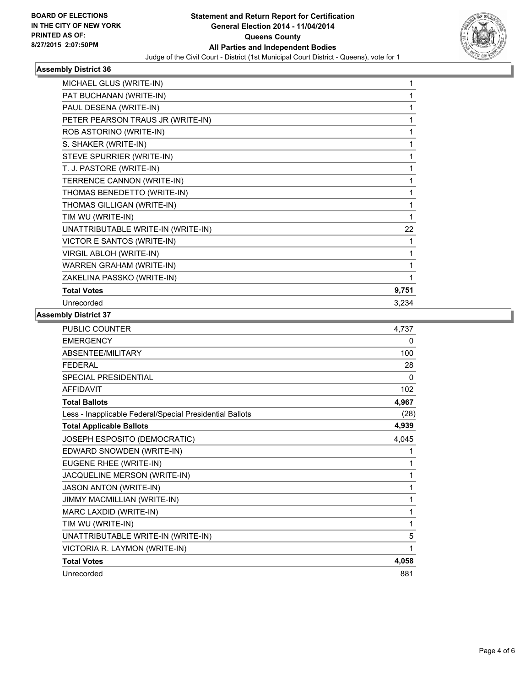

#### **Assembly District 36**

| MICHAEL GLUS (WRITE-IN)            | 1            |
|------------------------------------|--------------|
| PAT BUCHANAN (WRITE-IN)            | 1            |
| PAUL DESENA (WRITE-IN)             | 1            |
| PETER PEARSON TRAUS JR (WRITE-IN)  | 1            |
| ROB ASTORINO (WRITE-IN)            | 1            |
| S. SHAKER (WRITE-IN)               | 1            |
| STEVE SPURRIER (WRITE-IN)          | 1            |
| T. J. PASTORE (WRITE-IN)           | 1            |
| TERRENCE CANNON (WRITE-IN)         | 1            |
| THOMAS BENEDETTO (WRITE-IN)        | 1            |
| THOMAS GILLIGAN (WRITE-IN)         | 1            |
| TIM WU (WRITE-IN)                  | $\mathbf{1}$ |
| UNATTRIBUTABLE WRITE-IN (WRITE-IN) | 22           |
| VICTOR E SANTOS (WRITE-IN)         | 1            |
| <b>VIRGIL ABLOH (WRITE-IN)</b>     | 1            |
| WARREN GRAHAM (WRITE-IN)           | 1            |
| ZAKELINA PASSKO (WRITE-IN)         | 1            |
| <b>Total Votes</b>                 | 9,751        |
| Unrecorded                         | 3,234        |

### **Assembly District 37**

| <b>PUBLIC COUNTER</b>                                    | 4,737 |
|----------------------------------------------------------|-------|
| <b>EMERGENCY</b>                                         | 0     |
| ABSENTEE/MILITARY                                        | 100   |
| <b>FEDERAL</b>                                           | 28    |
| SPECIAL PRESIDENTIAL                                     | 0     |
| <b>AFFIDAVIT</b>                                         | 102   |
| <b>Total Ballots</b>                                     | 4,967 |
| Less - Inapplicable Federal/Special Presidential Ballots | (28)  |
| <b>Total Applicable Ballots</b>                          | 4,939 |
| JOSEPH ESPOSITO (DEMOCRATIC)                             | 4,045 |
| EDWARD SNOWDEN (WRITE-IN)                                | 1     |
| EUGENE RHEE (WRITE-IN)                                   | 1     |
| JACQUELINE MERSON (WRITE-IN)                             | 1     |
| <b>JASON ANTON (WRITE-IN)</b>                            | 1     |
| JIMMY MACMILLIAN (WRITE-IN)                              | 1     |
| MARC LAXDID (WRITE-IN)                                   | 1     |
| TIM WU (WRITE-IN)                                        | 1     |
| UNATTRIBUTABLE WRITE-IN (WRITE-IN)                       | 5     |
| VICTORIA R. LAYMON (WRITE-IN)                            | 1     |
| <b>Total Votes</b>                                       | 4,058 |
| Unrecorded                                               | 881   |
|                                                          |       |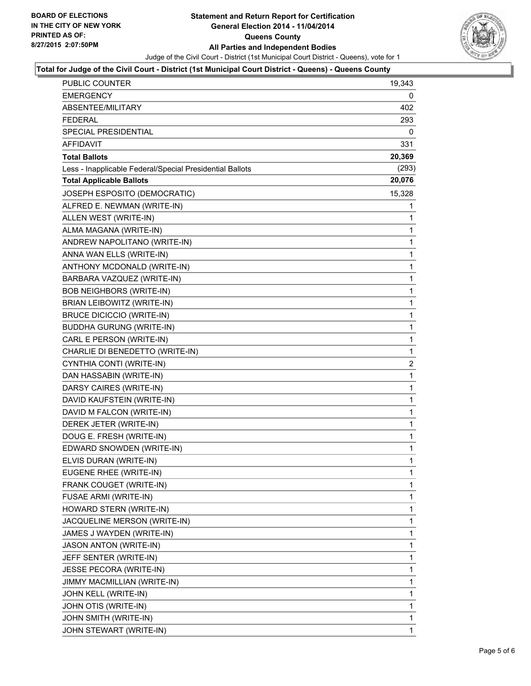

### **Total for Judge of the Civil Court - District (1st Municipal Court District - Queens) - Queens County**

| <b>PUBLIC COUNTER</b>                                    | 19,343         |
|----------------------------------------------------------|----------------|
| EMERGENCY                                                | 0              |
| ABSENTEE/MILITARY                                        | 402            |
| <b>FEDERAL</b>                                           | 293            |
| <b>SPECIAL PRESIDENTIAL</b>                              | 0              |
| <b>AFFIDAVIT</b>                                         | 331            |
| <b>Total Ballots</b>                                     | 20,369         |
| Less - Inapplicable Federal/Special Presidential Ballots | (293)          |
| <b>Total Applicable Ballots</b>                          | 20,076         |
| JOSEPH ESPOSITO (DEMOCRATIC)                             | 15,328         |
| ALFRED E. NEWMAN (WRITE-IN)                              | 1              |
| ALLEN WEST (WRITE-IN)                                    | 1              |
| ALMA MAGANA (WRITE-IN)                                   | 1              |
| ANDREW NAPOLITANO (WRITE-IN)                             | 1              |
| ANNA WAN ELLS (WRITE-IN)                                 | 1              |
| ANTHONY MCDONALD (WRITE-IN)                              | 1              |
| BARBARA VAZQUEZ (WRITE-IN)                               | 1              |
| <b>BOB NEIGHBORS (WRITE-IN)</b>                          | 1              |
| BRIAN LEIBOWITZ (WRITE-IN)                               | 1              |
| <b>BRUCE DICICCIO (WRITE-IN)</b>                         | 1              |
| <b>BUDDHA GURUNG (WRITE-IN)</b>                          | 1              |
| CARL E PERSON (WRITE-IN)                                 | 1              |
| CHARLIE DI BENEDETTO (WRITE-IN)                          | 1              |
| CYNTHIA CONTI (WRITE-IN)                                 | $\overline{2}$ |
| DAN HASSABIN (WRITE-IN)                                  | 1              |
| DARSY CAIRES (WRITE-IN)                                  | 1              |
| DAVID KAUFSTEIN (WRITE-IN)                               | 1              |
| DAVID M FALCON (WRITE-IN)                                | 1              |
| DEREK JETER (WRITE-IN)                                   | 1              |
| DOUG E. FRESH (WRITE-IN)                                 | 1              |
| EDWARD SNOWDEN (WRITE-IN)                                | 1              |
| ELVIS DURAN (WRITE-IN)                                   | 1              |
| EUGENE RHEE (WRITE-IN)                                   | 1              |
| FRANK COUGET (WRITE-IN)                                  | 1              |
| <b>FUSAE ARMI (WRITE-IN)</b>                             | 1              |
| HOWARD STERN (WRITE-IN)                                  | 1              |
| JACQUELINE MERSON (WRITE-IN)                             | 1              |
| JAMES J WAYDEN (WRITE-IN)                                | 1              |
| <b>JASON ANTON (WRITE-IN)</b>                            | 1              |
| JEFF SENTER (WRITE-IN)                                   | 1              |
| JESSE PECORA (WRITE-IN)                                  | 1              |
| JIMMY MACMILLIAN (WRITE-IN)                              | 1              |
| JOHN KELL (WRITE-IN)                                     | 1              |
| JOHN OTIS (WRITE-IN)                                     | 1              |
| JOHN SMITH (WRITE-IN)                                    | 1              |
| JOHN STEWART (WRITE-IN)                                  | $\mathbf 1$    |